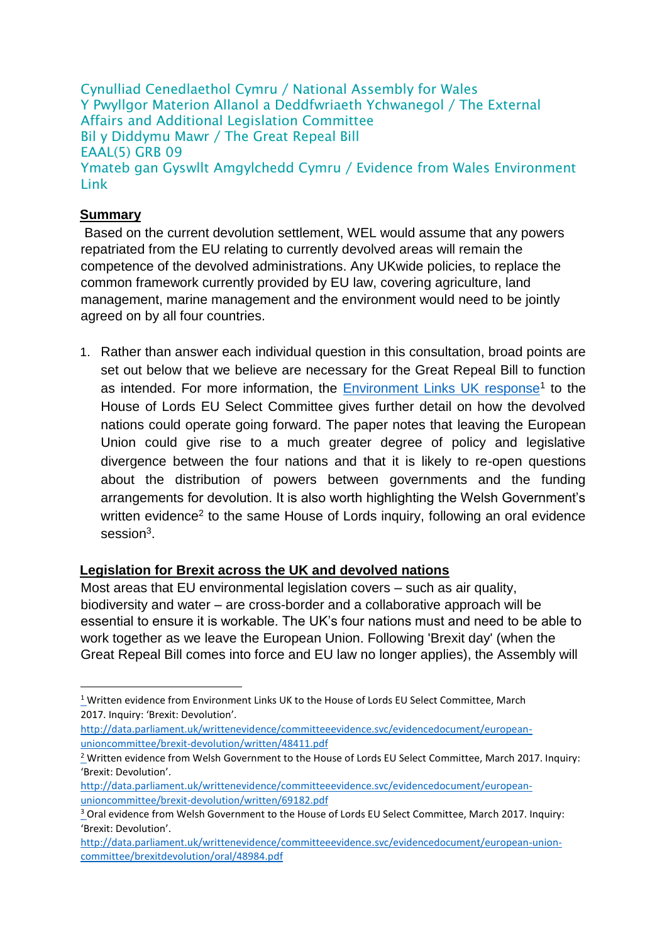Cynulliad Cenedlaethol Cymru / National Assembly for Wales Y Pwyllgor Materion Allanol a Deddfwriaeth Ychwanegol / The External Affairs and Additional Legislation Committee Bil y Diddymu Mawr / The Great Repeal Bill EAAL(5) GRB 09 Ymateb gan Gyswllt Amgylchedd Cymru / Evidence from Wales Environment Link

### **Summary**

<u>.</u>

Based on the current devolution settlement, WEL would assume that any powers repatriated from the EU relating to currently devolved areas will remain the competence of the devolved administrations. Any UKwide policies, to replace the common framework currently provided by EU law, covering agriculture, land management, marine management and the environment would need to be jointly agreed on by all four countries.

1. Rather than answer each individual question in this consultation, broad points are set out below that we believe are necessary for the Great Repeal Bill to function as intended. For more information, the **Environment Links UK response<sup>1</sup>** to the House of Lords EU Select Committee gives further detail on how the devolved nations could operate going forward. The paper notes that leaving the European Union could give rise to a much greater degree of policy and legislative divergence between the four nations and that it is likely to re-open questions about the distribution of powers between governments and the funding arrangements for devolution. It is also worth highlighting the Welsh Government's written evidence<sup>2</sup> to the same House of Lords inquiry, following an oral evidence session<sup>3</sup>.

#### **Legislation for Brexit across the UK and devolved nations**

Most areas that EU environmental legislation covers – such as air quality, biodiversity and water – are cross-border and a collaborative approach will be essential to ensure it is workable. The UK's four nations must and need to be able to work together as we leave the European Union. Following 'Brexit day' (when the Great Repeal Bill comes into force and EU law no longer applies), the Assembly will

[http://data.parliament.uk/writtenevidence/committeeevidence.svc/evidencedocument/european](http://data.parliament.uk/writtenevidence/committeeevidence.svc/evidencedocument/european-union-committee/brexit-devolution/written/48411.pdf)[unioncommittee/brexit-devolution/written/48411.pdf](http://data.parliament.uk/writtenevidence/committeeevidence.svc/evidencedocument/european-union-committee/brexit-devolution/written/48411.pdf)

<sup>&</sup>lt;sup>1</sup> Written evidence from Environment Links UK to the House of Lords EU Select Committee, March 2017. Inquiry: 'Brexit: Devolution'.

<sup>&</sup>lt;sup>2</sup> Written evidence from Welsh Government to the House of Lords EU Select Committee, March 2017. Inquiry: 'Brexit: Devolution'.

[http://data.parliament.uk/writtenevidence/committeeevidence.svc/evidencedocument/european](http://data.parliament.uk/writtenevidence/committeeevidence.svc/evidencedocument/european-union-committee/brexit-devolution/written/69182.pdf)[unioncommittee/brexit-devolution/written/69182.pdf](http://data.parliament.uk/writtenevidence/committeeevidence.svc/evidencedocument/european-union-committee/brexit-devolution/written/69182.pdf)

<sup>&</sup>lt;sup>3</sup> Oral evidence from Welsh Government to the House of Lords EU Select Committee, March 2017. Inquiry: 'Brexit: Devolution'.

[http://data.parliament.uk/writtenevidence/committeeevidence.svc/evidencedocument/european-union](http://data.parliament.uk/writtenevidence/committeeevidence.svc/evidencedocument/european-union-committee/brexit-devolution/oral/48984.pdf)[committee/brexitdevolution/oral/48984.pdf](http://data.parliament.uk/writtenevidence/committeeevidence.svc/evidencedocument/european-union-committee/brexit-devolution/oral/48984.pdf)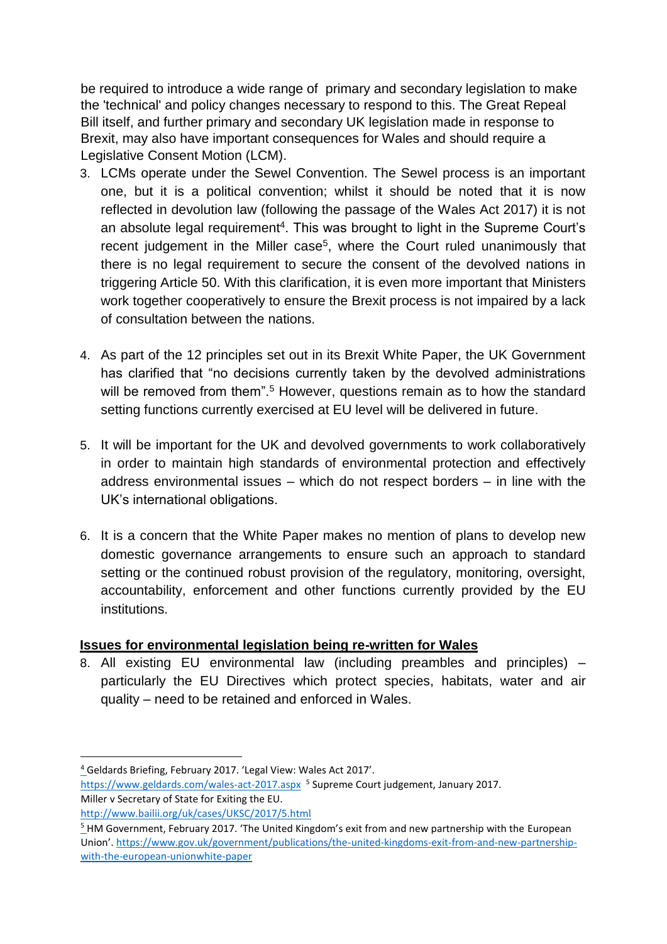be required to introduce a wide range of primary and secondary legislation to make the 'technical' and policy changes necessary to respond to this. The Great Repeal Bill itself, and further primary and secondary UK legislation made in response to Brexit, may also have important consequences for Wales and should require a Legislative Consent Motion (LCM).

- 3. LCMs operate under the Sewel Convention. The Sewel process is an important one, but it is a political convention; whilst it should be noted that it is now reflected in devolution law (following the passage of the Wales Act 2017) it is not an absolute legal requirement<sup>4</sup>. This was brought to light in the Supreme Court's recent judgement in the Miller case<sup>5</sup>, where the Court ruled unanimously that there is no legal requirement to secure the consent of the devolved nations in triggering Article 50. With this clarification, it is even more important that Ministers work together cooperatively to ensure the Brexit process is not impaired by a lack of consultation between the nations.
- 4. As part of the 12 principles set out in its Brexit White Paper, the UK Government has clarified that "no decisions currently taken by the devolved administrations will be removed from them".<sup>5</sup> However, questions remain as to how the standard setting functions currently exercised at EU level will be delivered in future.
- 5. It will be important for the UK and devolved governments to work collaboratively in order to maintain high standards of environmental protection and effectively address environmental issues – which do not respect borders – in line with the UK's international obligations.
- 6. It is a concern that the White Paper makes no mention of plans to develop new domestic governance arrangements to ensure such an approach to standard setting or the continued robust provision of the regulatory, monitoring, oversight, accountability, enforcement and other functions currently provided by the EU institutions.

#### **Issues for environmental legislation being re-written for Wales**

8. All existing EU environmental law (including preambles and principles) – particularly the EU Directives which protect species, habitats, water and air quality – need to be retained and enforced in Wales.

<u>.</u>

<sup>4</sup> Geldards Briefing, February 2017. 'Legal View: Wales Act 2017'.

<https://www.geldards.com/wales-act-2017.aspx><sup>5</sup> Supreme Court judgement, January 2017. Miller v Secretary of State for Exiting the EU.

<http://www.bailii.org/uk/cases/UKSC/2017/5.html>

<sup>&</sup>lt;sup>5</sup> HM Government, February 2017. 'The United Kingdom's exit from and new partnership with the European Union'. [https://www.gov.uk/government/publications/the-united-kingdoms-exit-from-and-new-partnership](https://www.gov.uk/government/publications/the-united-kingdoms-exit-from-and-new-partnership-with-the-european-union-white-paper)[with-the-european-unionwhite-paper](https://www.gov.uk/government/publications/the-united-kingdoms-exit-from-and-new-partnership-with-the-european-union-white-paper)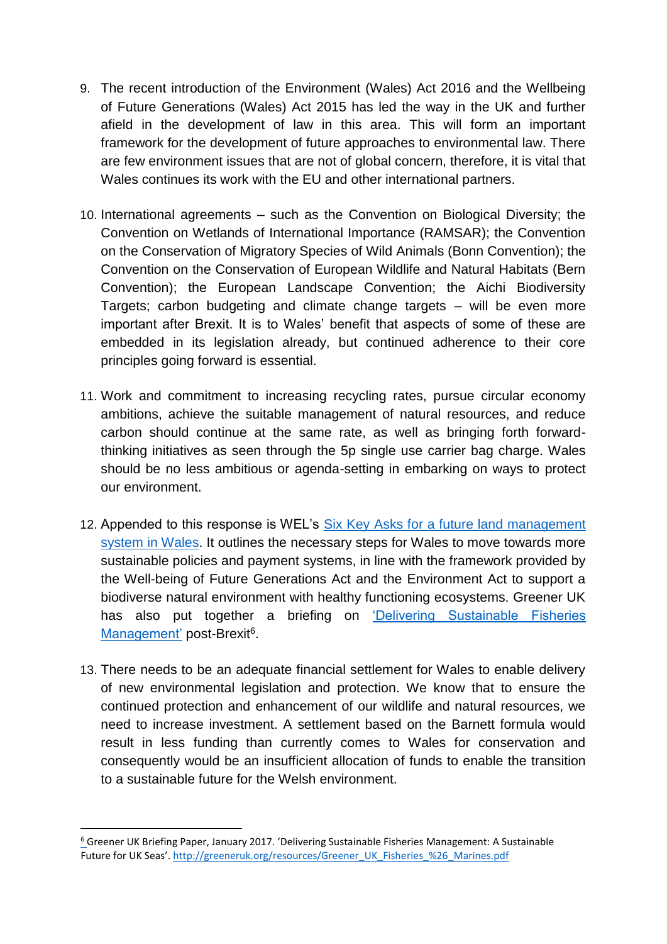- 9. The recent introduction of the Environment (Wales) Act 2016 and the Wellbeing of Future Generations (Wales) Act 2015 has led the way in the UK and further afield in the development of law in this area. This will form an important framework for the development of future approaches to environmental law. There are few environment issues that are not of global concern, therefore, it is vital that Wales continues its work with the EU and other international partners.
- 10. International agreements such as the Convention on Biological Diversity; the Convention on Wetlands of International Importance (RAMSAR); the Convention on the Conservation of Migratory Species of Wild Animals (Bonn Convention); the Convention on the Conservation of European Wildlife and Natural Habitats (Bern Convention); the European Landscape Convention; the Aichi Biodiversity Targets; carbon budgeting and climate change targets – will be even more important after Brexit. It is to Wales' benefit that aspects of some of these are embedded in its legislation already, but continued adherence to their core principles going forward is essential.
- 11. Work and commitment to increasing recycling rates, pursue circular economy ambitions, achieve the suitable management of natural resources, and reduce carbon should continue at the same rate, as well as bringing forth forwardthinking initiatives as seen through the 5p single use carrier bag charge. Wales should be no less ambitious or agenda-setting in embarking on ways to protect our environment.
- 12. Appended to this response is WEL's Six Key Asks for a future land management [system in Wales.](http://www.waleslink.org/sites/default/files/land_management_key_asks_final2.pdf) It outlines the necessary steps for Wales to move towards more sustainable policies and payment systems, in line with the framework provided by the Well-being of Future Generations Act and the Environment Act to support a biodiverse natural environment with healthy functioning ecosystems. Greener UK has also put together a briefing on 'Delivering Sustainable Fisheries Management' post-Brexit<sup>6</sup>.
- 13. There needs to be an adequate financial settlement for Wales to enable delivery of new environmental legislation and protection. We know that to ensure the continued protection and enhancement of our wildlife and natural resources, we need to increase investment. A settlement based on the Barnett formula would result in less funding than currently comes to Wales for conservation and consequently would be an insufficient allocation of funds to enable the transition to a sustainable future for the Welsh environment.

1

<sup>6</sup> Greener UK Briefing Paper, January 2017. 'Delivering Sustainable Fisheries Management: A Sustainable Future for UK Seas'. [http://greeneruk.org/resources/Greener\\_UK\\_Fisheries\\_%26\\_Marines.pdf](http://greeneruk.org/resources/Greener_UK_Fisheries_%26_Marines.pdf)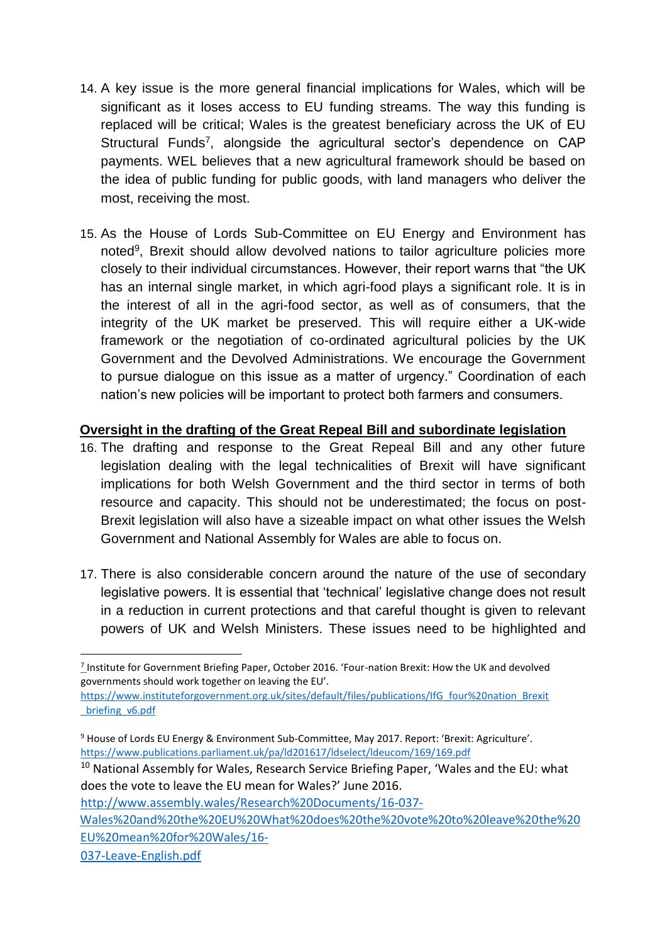- 14. A key issue is the more general financial implications for Wales, which will be significant as it loses access to EU funding streams. The way this funding is replaced will be critical; Wales is the greatest beneficiary across the UK of EU Structural Funds<sup>7</sup>, alongside the agricultural sector's dependence on CAP payments. WEL believes that a new agricultural framework should be based on the idea of public funding for public goods, with land managers who deliver the most, receiving the most.
- 15. As the House of Lords Sub-Committee on EU Energy and Environment has noted<sup>9</sup>, Brexit should allow devolved nations to tailor agriculture policies more closely to their individual circumstances. However, their report warns that "the UK has an internal single market, in which agri-food plays a significant role. It is in the interest of all in the agri-food sector, as well as of consumers, that the integrity of the UK market be preserved. This will require either a UK-wide framework or the negotiation of co-ordinated agricultural policies by the UK Government and the Devolved Administrations. We encourage the Government to pursue dialogue on this issue as a matter of urgency." Coordination of each nation's new policies will be important to protect both farmers and consumers.

#### **Oversight in the drafting of the Great Repeal Bill and subordinate legislation**

- 16. The drafting and response to the Great Repeal Bill and any other future legislation dealing with the legal technicalities of Brexit will have significant implications for both Welsh Government and the third sector in terms of both resource and capacity. This should not be underestimated; the focus on post-Brexit legislation will also have a sizeable impact on what other issues the Welsh Government and National Assembly for Wales are able to focus on.
- 17. There is also considerable concern around the nature of the use of secondary legislative powers. It is essential that 'technical' legislative change does not result in a reduction in current protections and that careful thought is given to relevant powers of UK and Welsh Ministers. These issues need to be highlighted and

[https://www.instituteforgovernment.org.uk/sites/default/files/publications/IfG\\_four%20nation\\_Brexit](https://www.instituteforgovernment.org.uk/sites/default/files/publications/IfG_four%20nation_Brexit_briefing_v6.pdf) [\\_briefing\\_v6.pdf](https://www.instituteforgovernment.org.uk/sites/default/files/publications/IfG_four%20nation_Brexit_briefing_v6.pdf)

[http://www.assembly.wales/Research%20Documents/16-037-](http://www.assembly.wales/Research%20Documents/16-037-Wales%20and%20the%20EU%20What%20does%20the%20vote%20to%20leave%20the%20EU%20mean%20for%20Wales/16-037-Leave-English.pdf)

[Wales%20and%20the%20EU%20What%20does%20the%20vote%20to%20leave%20the%20](http://www.assembly.wales/Research%20Documents/16-037-Wales%20and%20the%20EU%20What%20does%20the%20vote%20to%20leave%20the%20EU%20mean%20for%20Wales/16-037-Leave-English.pdf) [EU%20mean%20for%20Wales/16-](http://www.assembly.wales/Research%20Documents/16-037-Wales%20and%20the%20EU%20What%20does%20the%20vote%20to%20leave%20the%20EU%20mean%20for%20Wales/16-037-Leave-English.pdf)

[037-Leave-English.pdf](http://www.assembly.wales/Research%20Documents/16-037-Wales%20and%20the%20EU%20What%20does%20the%20vote%20to%20leave%20the%20EU%20mean%20for%20Wales/16-037-Leave-English.pdf)

<sup>1</sup>  $\frac{7}{2}$ Institute for Government Briefing Paper, October 2016. 'Four-nation Brexit: How the UK and devolved governments should work together on leaving the EU'.

<sup>9</sup> House of Lords EU Energy & Environment Sub-Committee, May 2017. Report: 'Brexit: Agriculture'. <https://www.publications.parliament.uk/pa/ld201617/ldselect/ldeucom/169/169.pdf>

<sup>&</sup>lt;sup>10</sup> National Assembly for Wales, Research Service Briefing Paper, 'Wales and the EU: what does the vote to leave the EU mean for Wales?' June 2016.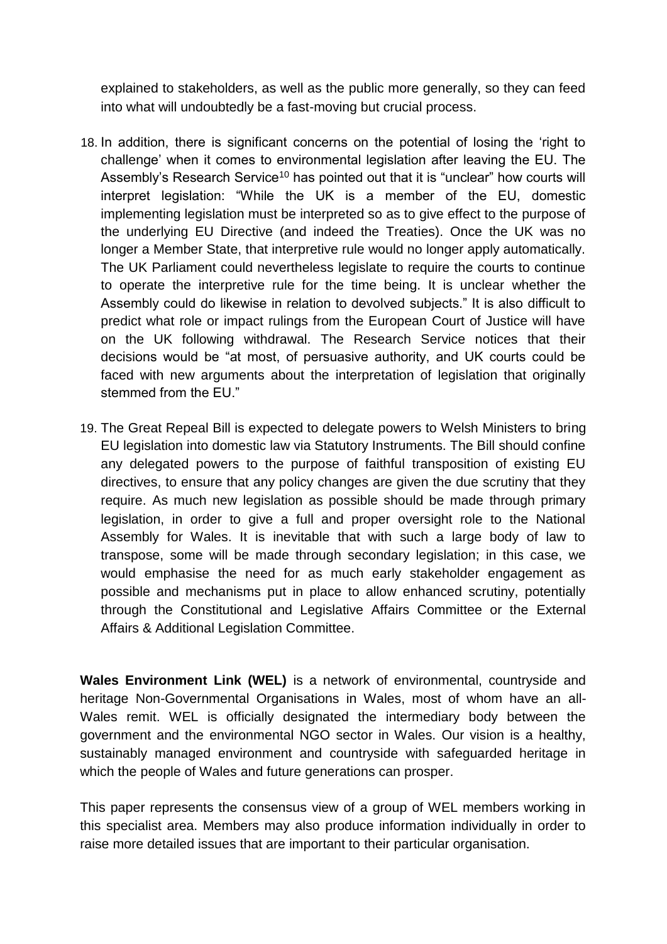explained to stakeholders, as well as the public more generally, so they can feed into what will undoubtedly be a fast-moving but crucial process.

- 18. In addition, there is significant concerns on the potential of losing the 'right to challenge' when it comes to environmental legislation after leaving the EU. The Assembly's Research Service<sup>10</sup> has pointed out that it is "unclear" how courts will interpret legislation: "While the UK is a member of the EU, domestic implementing legislation must be interpreted so as to give effect to the purpose of the underlying EU Directive (and indeed the Treaties). Once the UK was no longer a Member State, that interpretive rule would no longer apply automatically. The UK Parliament could nevertheless legislate to require the courts to continue to operate the interpretive rule for the time being. It is unclear whether the Assembly could do likewise in relation to devolved subjects." It is also difficult to predict what role or impact rulings from the European Court of Justice will have on the UK following withdrawal. The Research Service notices that their decisions would be "at most, of persuasive authority, and UK courts could be faced with new arguments about the interpretation of legislation that originally stemmed from the EU."
- 19. The Great Repeal Bill is expected to delegate powers to Welsh Ministers to bring EU legislation into domestic law via Statutory Instruments. The Bill should confine any delegated powers to the purpose of faithful transposition of existing EU directives, to ensure that any policy changes are given the due scrutiny that they require. As much new legislation as possible should be made through primary legislation, in order to give a full and proper oversight role to the National Assembly for Wales. It is inevitable that with such a large body of law to transpose, some will be made through secondary legislation; in this case, we would emphasise the need for as much early stakeholder engagement as possible and mechanisms put in place to allow enhanced scrutiny, potentially through the Constitutional and Legislative Affairs Committee or the External Affairs & Additional Legislation Committee.

**Wales Environment Link (WEL)** is a network of environmental, countryside and heritage Non-Governmental Organisations in Wales, most of whom have an all-Wales remit. WEL is officially designated the intermediary body between the government and the environmental NGO sector in Wales. Our vision is a healthy, sustainably managed environment and countryside with safeguarded heritage in which the people of Wales and future generations can prosper.

This paper represents the consensus view of a group of WEL members working in this specialist area. Members may also produce information individually in order to raise more detailed issues that are important to their particular organisation.